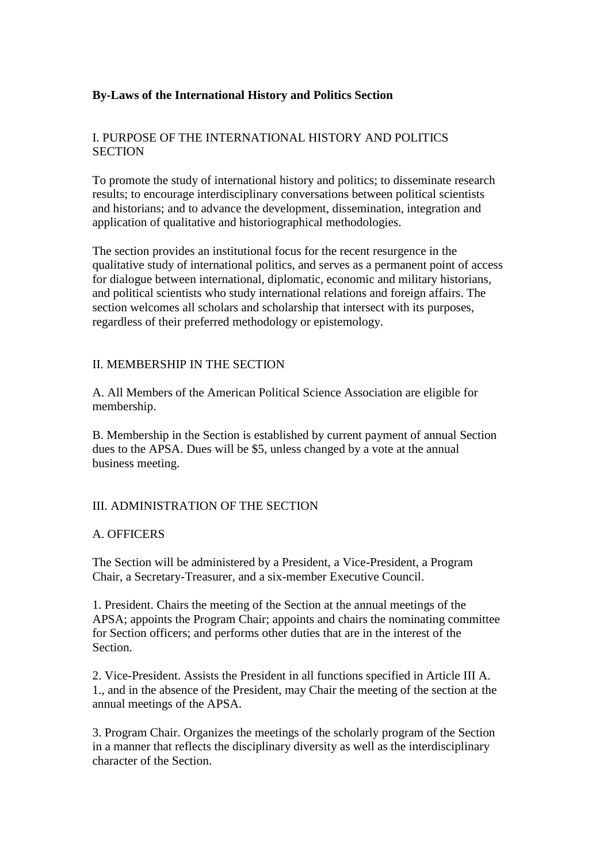### **By-Laws of the International History and Politics Section**

### I. PURPOSE OF THE INTERNATIONAL HISTORY AND POLITICS **SECTION**

To promote the study of international history and politics; to disseminate research results; to encourage interdisciplinary conversations between political scientists and historians; and to advance the development, dissemination, integration and application of qualitative and historiographical methodologies.

The section provides an institutional focus for the recent resurgence in the qualitative study of international politics, and serves as a permanent point of access for dialogue between international, diplomatic, economic and military historians, and political scientists who study international relations and foreign affairs. The section welcomes all scholars and scholarship that intersect with its purposes, regardless of their preferred methodology or epistemology.

#### II. MEMBERSHIP IN THE SECTION

A. All Members of the American Political Science Association are eligible for membership.

B. Membership in the Section is established by current payment of annual Section dues to the APSA. Dues will be \$5, unless changed by a vote at the annual business meeting.

#### III. ADMINISTRATION OF THE SECTION

#### A. OFFICERS

The Section will be administered by a President, a Vice-President, a Program Chair, a Secretary-Treasurer, and a six-member Executive Council.

1. President. Chairs the meeting of the Section at the annual meetings of the APSA; appoints the Program Chair; appoints and chairs the nominating committee for Section officers; and performs other duties that are in the interest of the Section.

2. Vice-President. Assists the President in all functions specified in Article III A. 1., and in the absence of the President, may Chair the meeting of the section at the annual meetings of the APSA.

3. Program Chair. Organizes the meetings of the scholarly program of the Section in a manner that reflects the disciplinary diversity as well as the interdisciplinary character of the Section.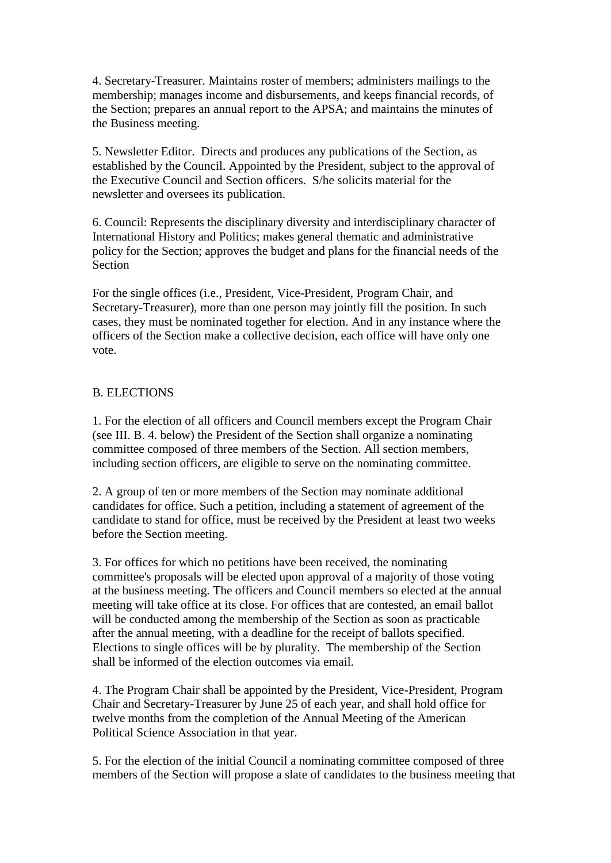4. Secretary-Treasurer. Maintains roster of members; administers mailings to the membership; manages income and disbursements, and keeps financial records, of the Section; prepares an annual report to the APSA; and maintains the minutes of the Business meeting.

5. Newsletter Editor. Directs and produces any publications of the Section, as established by the Council. Appointed by the President, subject to the approval of the Executive Council and Section officers. S/he solicits material for the newsletter and oversees its publication.

6. Council: Represents the disciplinary diversity and interdisciplinary character of International History and Politics; makes general thematic and administrative policy for the Section; approves the budget and plans for the financial needs of the Section

For the single offices (i.e., President, Vice-President, Program Chair, and Secretary-Treasurer), more than one person may jointly fill the position. In such cases, they must be nominated together for election. And in any instance where the officers of the Section make a collective decision, each office will have only one vote.

#### B. ELECTIONS

1. For the election of all officers and Council members except the Program Chair (see III. B. 4. below) the President of the Section shall organize a nominating committee composed of three members of the Section. All section members, including section officers, are eligible to serve on the nominating committee.

2. A group of ten or more members of the Section may nominate additional candidates for office. Such a petition, including a statement of agreement of the candidate to stand for office, must be received by the President at least two weeks before the Section meeting.

3. For offices for which no petitions have been received, the nominating committee's proposals will be elected upon approval of a majority of those voting at the business meeting. The officers and Council members so elected at the annual meeting will take office at its close. For offices that are contested, an email ballot will be conducted among the membership of the Section as soon as practicable after the annual meeting, with a deadline for the receipt of ballots specified. Elections to single offices will be by plurality. The membership of the Section shall be informed of the election outcomes via email.

4. The Program Chair shall be appointed by the President, Vice-President, Program Chair and Secretary-Treasurer by June 25 of each year, and shall hold office for twelve months from the completion of the Annual Meeting of the American Political Science Association in that year.

5. For the election of the initial Council a nominating committee composed of three members of the Section will propose a slate of candidates to the business meeting that